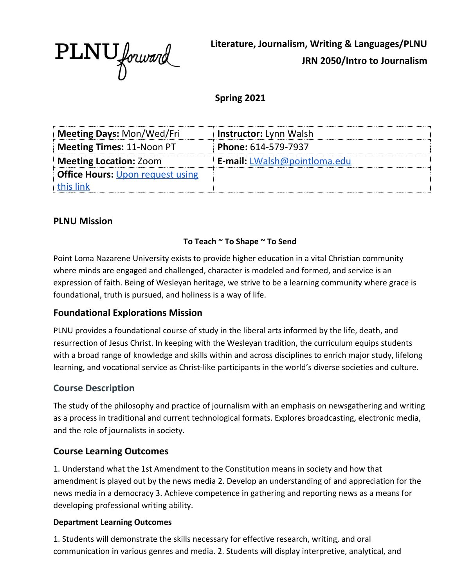

**Literature, Journalism, Writing & Languages/PLNU JRN 2050/Intro to Journalism**

**Spring 2021**

| Meeting Days: Mon/Wed/Fri               | <b>Instructor:</b> Lynn Walsh       |
|-----------------------------------------|-------------------------------------|
| Meeting Times: 11-Noon PT               | <b>Phone: 614-579-7937</b>          |
| <b>Meeting Location: Zoom</b>           | <b>E-mail:</b> LWalsh@pointloma.edu |
| <b>Office Hours: Upon request using</b> |                                     |
| this link                               |                                     |

### **PLNU Mission**

#### **To Teach ~ To Shape ~ To Send**

Point Loma Nazarene University exists to provide higher education in a vital Christian community where minds are engaged and challenged, character is modeled and formed, and service is an expression of faith. Being of Wesleyan heritage, we strive to be a learning community where grace is foundational, truth is pursued, and holiness is a way of life.

#### **Foundational Explorations Mission**

PLNU provides a foundational course of study in the liberal arts informed by the life, death, and resurrection of Jesus Christ. In keeping with the Wesleyan tradition, the curriculum equips students with a broad range of knowledge and skills within and across disciplines to enrich major study, lifelong learning, and vocational service as Christ-like participants in the world's diverse societies and culture.

#### **Course Description**

The study of the philosophy and practice of journalism with an emphasis on newsgathering and writing as a process in traditional and current technological formats. Explores broadcasting, electronic media, and the role of journalists in society.

#### **Course Learning Outcomes**

1. Understand what the 1st Amendment to the Constitution means in society and how that amendment is played out by the news media 2. Develop an understanding of and appreciation for the news media in a democracy 3. Achieve competence in gathering and reporting news as a means for developing professional writing ability.

#### **Department Learning Outcomes**

1. Students will demonstrate the skills necessary for effective research, writing, and oral communication in various genres and media. 2. Students will display interpretive, analytical, and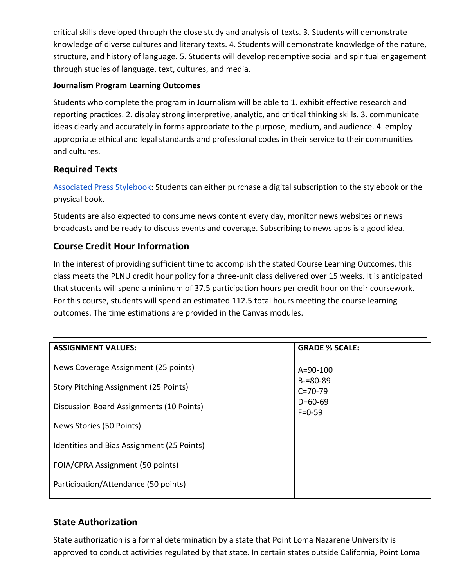critical skills developed through the close study and analysis of texts. 3. Students will demonstrate knowledge of diverse cultures and literary texts. 4. Students will demonstrate knowledge of the nature, structure, and history of language. 5. Students will develop redemptive social and spiritual engagement through studies of language, text, cultures, and media.

#### **Journalism Program Learning Outcomes**

Students who complete the program in Journalism will be able to 1. exhibit effective research and reporting practices. 2. display strong interpretive, analytic, and critical thinking skills. 3. communicate ideas clearly and accurately in forms appropriate to the purpose, medium, and audience. 4. employ appropriate ethical and legal standards and professional codes in their service to their communities and cultures.

### **Required Texts**

[Associated Press Stylebook:](https://www.apstylebook.com/) Students can either purchase a digital subscription to the stylebook or the physical book.

Students are also expected to consume news content every day, monitor news websites or news broadcasts and be ready to discuss events and coverage. Subscribing to news apps is a good idea.

### **Course Credit Hour Information**

In the interest of providing sufficient time to accomplish the stated Course Learning Outcomes, this class meets the PLNU credit hour policy for a three-unit class delivered over 15 weeks. It is anticipated that students will spend a minimum of 37.5 participation hours per credit hour on their coursework. For this course, students will spend an estimated 112.5 total hours meeting the course learning outcomes. The time estimations are provided in the Canvas modules.

| <b>ASSIGNMENT VALUES:</b>                  | <b>GRADE % SCALE:</b>                                                       |
|--------------------------------------------|-----------------------------------------------------------------------------|
| News Coverage Assignment (25 points)       | $A = 90 - 100$<br>$B = 80 - 89$<br>$C = 70 - 79$<br>$D=60-69$<br>$F = 0.59$ |
| Story Pitching Assignment (25 Points)      |                                                                             |
| Discussion Board Assignments (10 Points)   |                                                                             |
| News Stories (50 Points)                   |                                                                             |
| Identities and Bias Assignment (25 Points) |                                                                             |
| FOIA/CPRA Assignment (50 points)           |                                                                             |
| Participation/Attendance (50 points)       |                                                                             |
|                                            |                                                                             |

## **State Authorization**

State authorization is a formal determination by a state that Point Loma Nazarene University is approved to conduct activities regulated by that state. In certain states outside California, Point Loma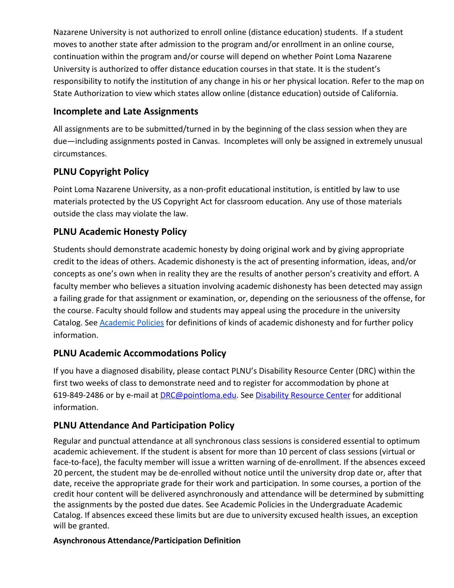Nazarene University is not authorized to enroll online (distance education) students. If a student moves to another state after admission to the program and/or enrollment in an online course, continuation within the program and/or course will depend on whether Point Loma Nazarene University is authorized to offer distance education courses in that state. It is the student's responsibility to notify the institution of any change in his or her physical location. Refer to the map on State Authorization to view which states allow online (distance education) outside of California.

## **Incomplete and Late Assignments**

All assignments are to be submitted/turned in by the beginning of the class session when they are due—including assignments posted in Canvas. Incompletes will only be assigned in extremely unusual circumstances.

# **PLNU Copyright Policy**

Point Loma Nazarene University, as a non-profit educational institution, is entitled by law to use materials protected by the US Copyright Act for classroom education. Any use of those materials outside the class may violate the law.

## **PLNU Academic Honesty Policy**

Students should demonstrate academic honesty by doing original work and by giving appropriate credit to the ideas of others. Academic dishonesty is the act of presenting information, ideas, and/or concepts as one's own when in reality they are the results of another person's creativity and effort. A faculty member who believes a situation involving academic dishonesty has been detected may assign a failing grade for that assignment or examination, or, depending on the seriousness of the offense, for the course. Faculty should follow and students may appeal using the procedure in the university Catalog. See [Academic Policies](https://catalog.pointloma.edu/content.php?catoid=41&navoid=2435) for definitions of kinds of academic dishonesty and for further policy information.

## **PLNU Academic Accommodations Policy**

If you have a diagnosed disability, please contact PLNU's Disability Resource Center (DRC) within the first two weeks of class to demonstrate need and to register for accommodation by phone at 619-849-2486 or by e-mail at [DRC@pointloma.edu.](mailto:DRC@pointloma.edu) See [Disability Resource Center](http://www.pointloma.edu/experience/offices/administrative-offices/academic-advising-office/disability-resource-center) for additional information.

## **PLNU Attendance And Participation Policy**

Regular and punctual attendance at all synchronous class sessions is considered essential to optimum academic achievement. If the student is absent for more than 10 percent of class sessions (virtual or face-to-face), the faculty member will issue a written warning of de-enrollment. If the absences exceed 20 percent, the student may be de-enrolled without notice until the university drop date or, after that date, receive the appropriate grade for their work and participation. In some courses, a portion of the credit hour content will be delivered asynchronously and attendance will be determined by submitting the assignments by the posted due dates. See Academic Policies in the Undergraduate Academic Catalog. If absences exceed these limits but are due to university excused health issues, an exception will be granted.

#### **Asynchronous Attendance/Participation Definition**